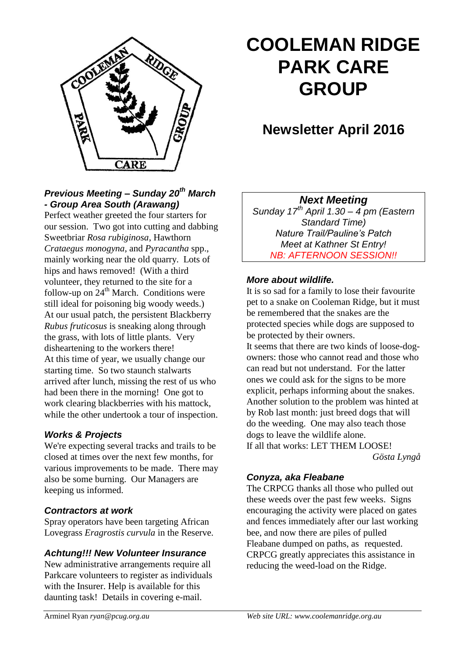

# **COOLEMAN RIDGE PARK CARE GROUP**

# **Newsletter April 2016**

### *Previous Meeting – Sunday 20th March - Group Area South (Arawang)*

Perfect weather greeted the four starters for our session. Two got into cutting and dabbing Sweetbriar *Rosa rubiginosa*, Hawthorn *Crataegus monogyna*, and *Pyracantha* spp., mainly working near the old quarry. Lots of hips and haws removed! (With a third volunteer, they returned to the site for a follow-up on  $24<sup>th</sup>$  March. Conditions were still ideal for poisoning big woody weeds.) At our usual patch, the persistent Blackberry *Rubus fruticosus* is sneaking along through the grass, with lots of little plants. Very disheartening to the workers there! At this time of year, we usually change our starting time. So two staunch stalwarts arrived after lunch, missing the rest of us who had been there in the morning! One got to work clearing blackberries with his mattock, while the other undertook a tour of inspection.

#### *Works & Projects*

We're expecting several tracks and trails to be closed at times over the next few months, for various improvements to be made. There may also be some burning. Our Managers are keeping us informed.

#### *Contractors at work*

Spray operators have been targeting African Lovegrass *Eragrostis curvula* in the Reserve.

#### *Achtung!!! New Volunteer Insurance*

New administrative arrangements require all Parkcare volunteers to register as individuals with the Insurer. Help is available for this daunting task! Details in covering e-mail.

#### *Next Meeting*

*Sunday 17th April 1.30 – 4 pm (Eastern Standard Time) Nature Trail/Pauline's Patch Meet at Kathner St Entry! NB: AFTERNOON SESSION!!*

#### *More about wildlife.*

It is so sad for a family to lose their favourite pet to a snake on Cooleman Ridge, but it must be remembered that the snakes are the protected species while dogs are supposed to be protected by their owners.

It seems that there are two kinds of loose-dogowners: those who cannot read and those who can read but not understand. For the latter ones we could ask for the signs to be more explicit, perhaps informing about the snakes. Another solution to the problem was hinted at by Rob last month: just breed dogs that will do the weeding. One may also teach those dogs to leave the wildlife alone. If all that works: LET THEM LOOSE!

*Gösta Lyngå*

#### *Conyza, aka Fleabane*

The CRPCG thanks all those who pulled out these weeds over the past few weeks. Signs encouraging the activity were placed on gates and fences immediately after our last working bee, and now there are piles of pulled Fleabane dumped on paths, as requested. CRPCG greatly appreciates this assistance in reducing the weed-load on the Ridge.